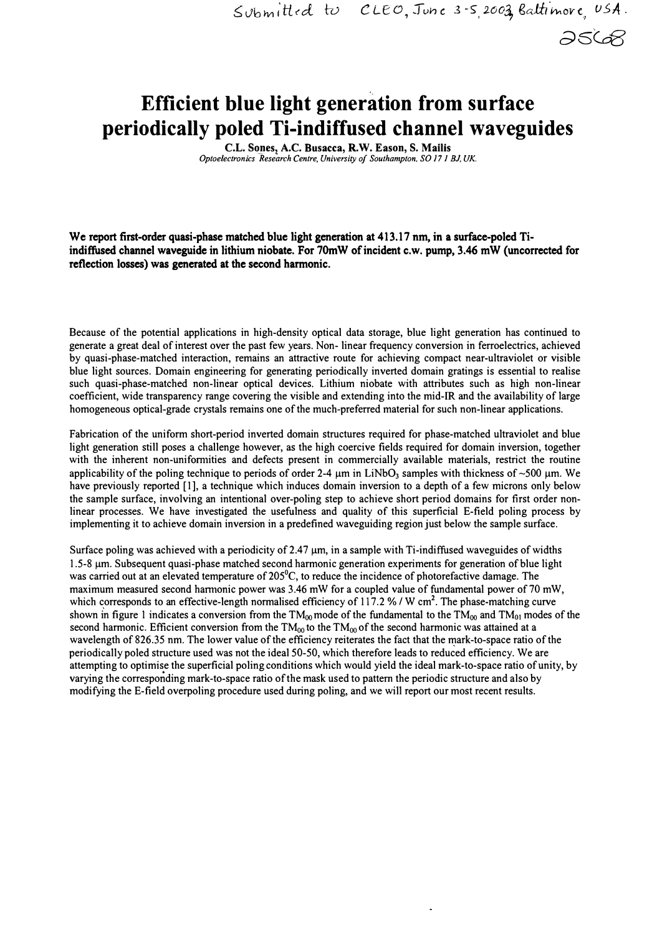*d6Co8* 

## **Efficient blue light generation from surface periodically poled Ti-indiffused channel waveguides**

**C.L. Sones, A.C. Busacca, R.W. Eason, S. Mailis** *Optoelectro;;ics Research Centre, University of Southampton, SO 17 I BJ, UK.* 

We report first-order quasi-phase matched blue light generation at 413.17 nm, in a surface-poled Tiindiffused channel waveguide in lithium niobate. For 70mW of incident c.w. pump, 3.46 mW (uncorrected for reflection losses) was generated at the second harmonic.

Because of the potential applications in high-density optical data storage, blue light generation has continued to generate a great deal of interest over the past few years. Non- linear frequency conversion in ferroelectrics, achieved by quasi-phase-matched interaction, remains an attractive route for achieving compact near-ultraviolet or visible blue light sources. Domain engineering for generating periodically inverted domain gratings is essential to realise such quasi-phase-matched non-linear optical devices. Lithium niobate with attributes such as high non-linear coefficient, wide transparency range covering the visible and extending into the mid-IR and the availability of large homogeneous optical-grade crystals remains one of the much-preferred material for such non-linear applications.

Fabrication of the uniform short-period inverted domain structures required for phase-matched ultraviolet and blue light generation still poses a challenge however, as the high coercive fields required for domain inversion, together with the inherent non-uniformities and defects present in commercially available materials, restrict the routine applicability of the poling technique to periods of order 2-4 µm in LiNb0**3** samples with thickness of -500 µm. We have previously reported [1], a technique which induces domain inversion to a depth of a few microns only below the sample surface, involving an intentional over-poling step to achieve short period domains for first order nonlinear processes. We have investigated the usefulness and quality of this superficial E-field poling process by implementing it to achieve domain inversion in a predefined waveguiding region just below the sample surface.

Surface poling was achieved with a periodicity of 2.47  $\mu$ m, in a sample with Ti-indiffused waveguides of widths 1.5-8 µm. Subsequent quasi-phase matched second harmonic generation experiments for generation of blue light was carried out at an elevated temperature of 205 $^{\circ}$ C, to reduce the incidence of photorefactive damage. The maximum measured second harmonic power was 3.46 mW for a coupled value of fundamental power of 70 mW, which corresponds to an effective-length normalised efficiency of 117.2 % / W cm<sup>2</sup>. The phase-matching curve shown in figure 1 indicates a conversion from the  $TM_{00}$  mode of the fundamental to the  $TM_{00}$  and  $TM_{01}$  modes of the second harmonic. Efficient conversion from the TM<sub>00</sub> to the TM<sub>00</sub> of the second harmonic was attained at a wavelength of 826.35 nm. The lower value of the efficiency reiterates the fact that the mark-to-space ratio of the periodically poled structure used was not the ideal 50-50, which therefore leads to reduced efficiency. We are attempting to optimise the superficial poling conditions which would yield the ideal mark-to-space ratio of unity, by varying the corresponding mark-to-space ratio of the mask used to pattern the periodic structure and also by modifying the E-field overpoling procedure used during poling, and we will report our most recent results.